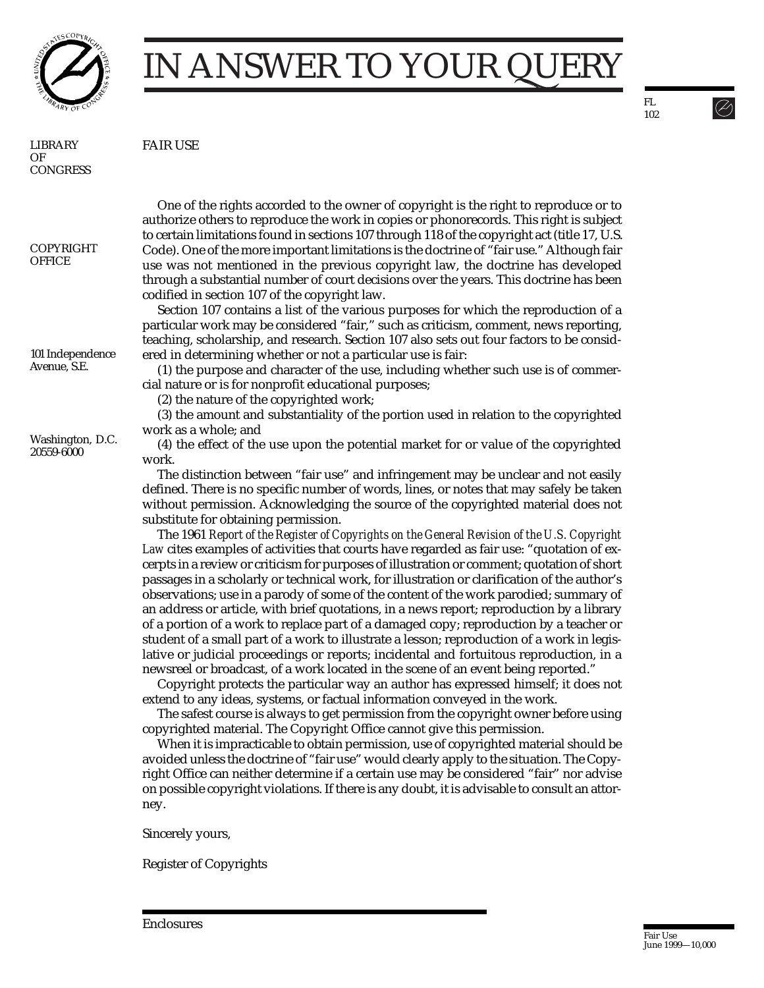

## IN ANSWER TO YOUR QUERY

LIBRARY OF **CONGRESS**  FAIR USE

COPYRIGHT **OFFICE** 

101 Independence Avenue, S.E.

Washington, D.C. 20559-6000

One of the rights accorded to the owner of copyright is the right to reproduce or to authorize others to reproduce the work in copies or phonorecords. This right is subject to certain limitations found in sections 107 through 118 of the copyright act (title 17, U.S. Code). One of the more important limitations is the doctrine of "fair use." Although fair use was not mentioned in the previous copyright law, the doctrine has developed through a substantial number of court decisions over the years. This doctrine has been codified in section 107 of the copyright law.

Section 107 contains a list of the various purposes for which the reproduction of a particular work may be considered "fair," such as criticism, comment, news reporting, teaching, scholarship, and research. Section 107 also sets out four factors to be considered in determining whether or not a particular use is fair:

(1) the purpose and character of the use, including whether such use is of commercial nature or is for nonprofit educational purposes;

(2) the nature of the copyrighted work;

(3) the amount and substantiality of the portion used in relation to the copyrighted work as a whole; and

(4) the effect of the use upon the potential market for or value of the copyrighted work.

The distinction between "fair use" and infringement may be unclear and not easily defined. There is no specific number of words, lines, or notes that may safely be taken without permission. Acknowledging the source of the copyrighted material does not substitute for obtaining permission.

The 1961 *Report of the Register of Copyrights on the General Revision of the U.S. Copyright Law* cites examples of activities that courts have regarded as fair use: "quotation of excerpts in a review or criticism for purposes of illustration or comment; quotation of short passages in a scholarly or technical work, for illustration or clarification of the author's observations; use in a parody of some of the content of the work parodied; summary of an address or article, with brief quotations, in a news report; reproduction by a library of a portion of a work to replace part of a damaged copy; reproduction by a teacher or student of a small part of a work to illustrate a lesson; reproduction of a work in legislative or judicial proceedings or reports; incidental and fortuitous reproduction, in a newsreel or broadcast, of a work located in the scene of an event being reported."

Copyright protects the particular way an author has expressed himself; it does not extend to any ideas, systems, or factual information conveyed in the work.

The safest course is always to get permission from the copyright owner before using copyrighted material. The Copyright Office cannot give this permission.

When it is impracticable to obtain permission, use of copyrighted material should be avoided unless the doctrine of "fair use" would clearly apply to the situation. The Copyright Office can neither determine if a certain use may be considered "fair" nor advise on possible copyright violations. If there is any doubt, it is advisable to consult an attorney.

Sincerely yours,

Register of Copyrights

FL 102